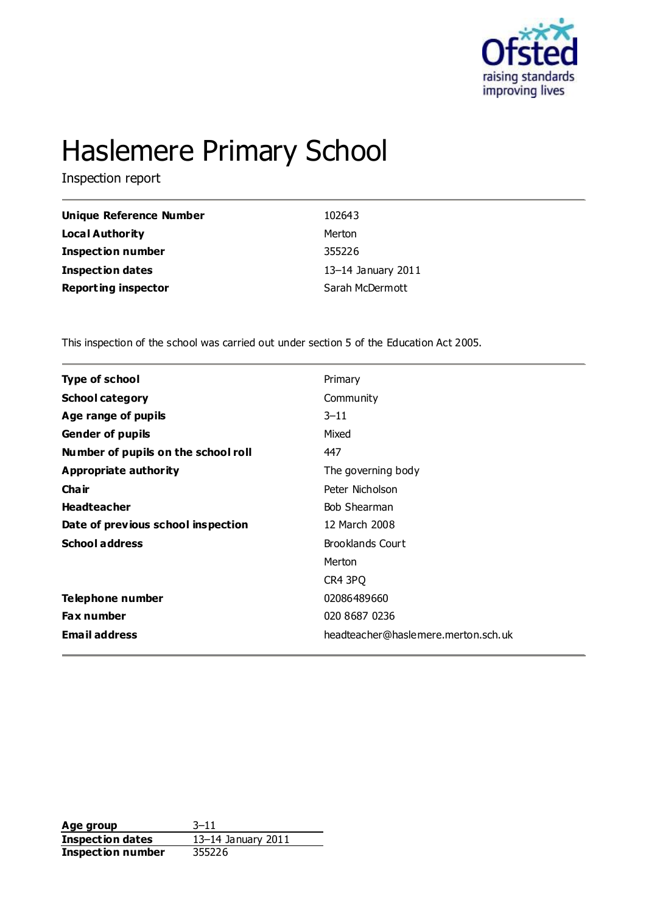

# Haslemere Primary School

Inspection report

| Unique Reference Number    | 102643             |
|----------------------------|--------------------|
| Local Authority            | Merton             |
| <b>Inspection number</b>   | 355226             |
| <b>Inspection dates</b>    | 13-14 January 2011 |
| <b>Reporting inspector</b> | Sarah McDermott    |

This inspection of the school was carried out under section 5 of the Education Act 2005.

| <b>Type of school</b>               | Primary                             |
|-------------------------------------|-------------------------------------|
| <b>School category</b>              | Community                           |
| Age range of pupils                 | $3 - 11$                            |
| <b>Gender of pupils</b>             | Mixed                               |
| Number of pupils on the school roll | 447                                 |
| <b>Appropriate authority</b>        | The governing body                  |
| Cha ir                              | Peter Nicholson                     |
| <b>Headteacher</b>                  | Bob Shearman                        |
| Date of previous school inspection  | 12 March 2008                       |
| <b>School address</b>               | <b>Brooklands Court</b>             |
|                                     | Merton                              |
|                                     | CR4 3PQ                             |
| Telephone number                    | 02086489660                         |
| <b>Fax number</b>                   | 020 8687 0236                       |
| <b>Email address</b>                | headteacher@haslemere.merton.sch.uk |
|                                     |                                     |

**Age group** 3–11 **Inspection dates** 13–14 January 2011 **Inspection number** 355226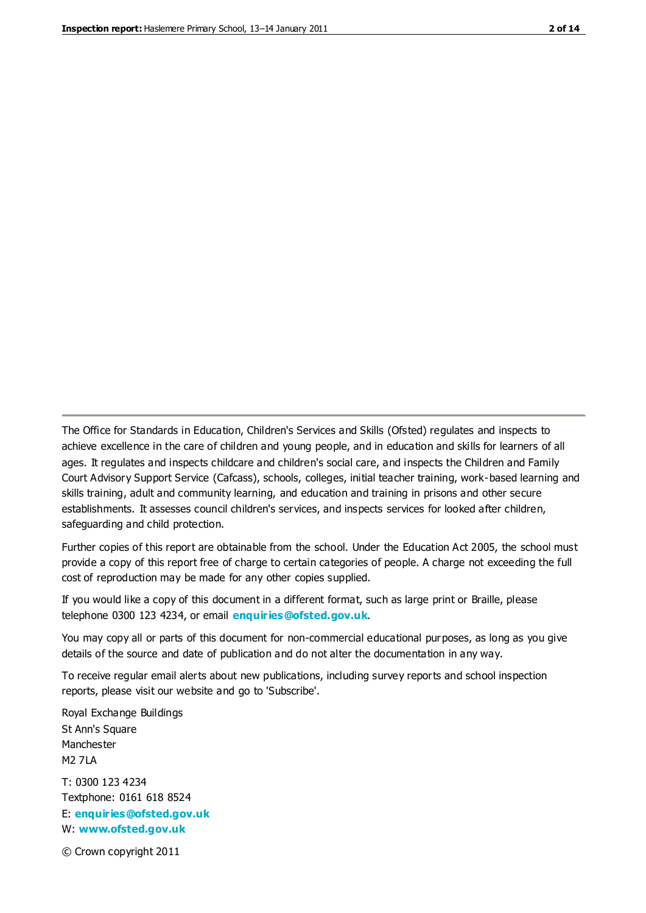The Office for Standards in Education, Children's Services and Skills (Ofsted) regulates and inspects to achieve excellence in the care of children and young people, and in education and skills for learners of all ages. It regulates and inspects childcare and children's social care, and inspects the Children and Family Court Advisory Support Service (Cafcass), schools, colleges, initial teacher training, work-based learning and skills training, adult and community learning, and education and training in prisons and other secure establishments. It assesses council children's services, and inspects services for looked after children, safeguarding and child protection.

Further copies of this report are obtainable from the school. Under the Education Act 2005, the school must provide a copy of this report free of charge to certain categories of people. A charge not exceeding the full cost of reproduction may be made for any other copies supplied.

If you would like a copy of this document in a different format, such as large print or Braille, please telephone 0300 123 4234, or email **[enquiries@ofsted.gov.uk](mailto:enquiries@ofsted.gov.uk)**.

You may copy all or parts of this document for non-commercial educational purposes, as long as you give details of the source and date of publication and do not alter the documentation in any way.

To receive regular email alerts about new publications, including survey reports and school inspection reports, please visit our website and go to 'Subscribe'.

Royal Exchange Buildings St Ann's Square Manchester M2 7LA T: 0300 123 4234 Textphone: 0161 618 8524 E: **[enquiries@ofsted.gov.uk](mailto:enquiries@ofsted.gov.uk)**

W: **[www.ofsted.gov.uk](http://www.ofsted.gov.uk/)**

© Crown copyright 2011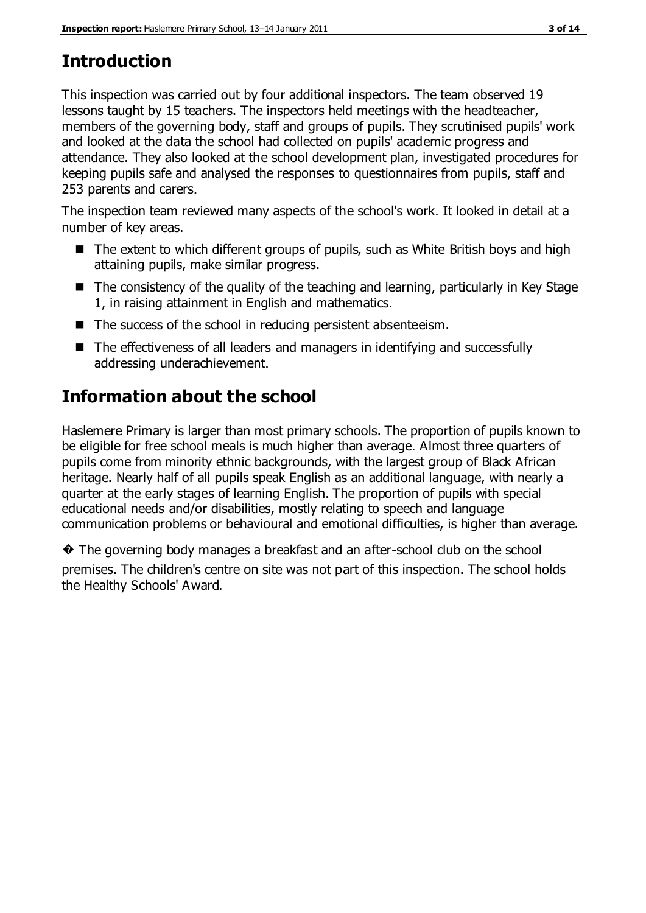# **Introduction**

This inspection was carried out by four additional inspectors. The team observed 19 lessons taught by 15 teachers. The inspectors held meetings with the headteacher, members of the governing body, staff and groups of pupils. They scrutinised pupils' work and looked at the data the school had collected on pupils' academic progress and attendance. They also looked at the school development plan, investigated procedures for keeping pupils safe and analysed the responses to questionnaires from pupils, staff and 253 parents and carers.

The inspection team reviewed many aspects of the school's work. It looked in detail at a number of key areas.

- The extent to which different groups of pupils, such as White British boys and high attaining pupils, make similar progress.
- The consistency of the quality of the teaching and learning, particularly in Key Stage 1, in raising attainment in English and mathematics.
- The success of the school in reducing persistent absenteeism.
- The effectiveness of all leaders and managers in identifying and successfully addressing underachievement.

# **Information about the school**

Haslemere Primary is larger than most primary schools. The proportion of pupils known to be eligible for free school meals is much higher than average. Almost three quarters of pupils come from minority ethnic backgrounds, with the largest group of Black African heritage. Nearly half of all pupils speak English as an additional language, with nearly a quarter at the early stages of learning English. The proportion of pupils with special educational needs and/or disabilities, mostly relating to speech and language communication problems or behavioural and emotional difficulties, is higher than average.

� The governing body manages a breakfast and an after-school club on the school premises. The children's centre on site was not part of this inspection. The school holds the Healthy Schools' Award.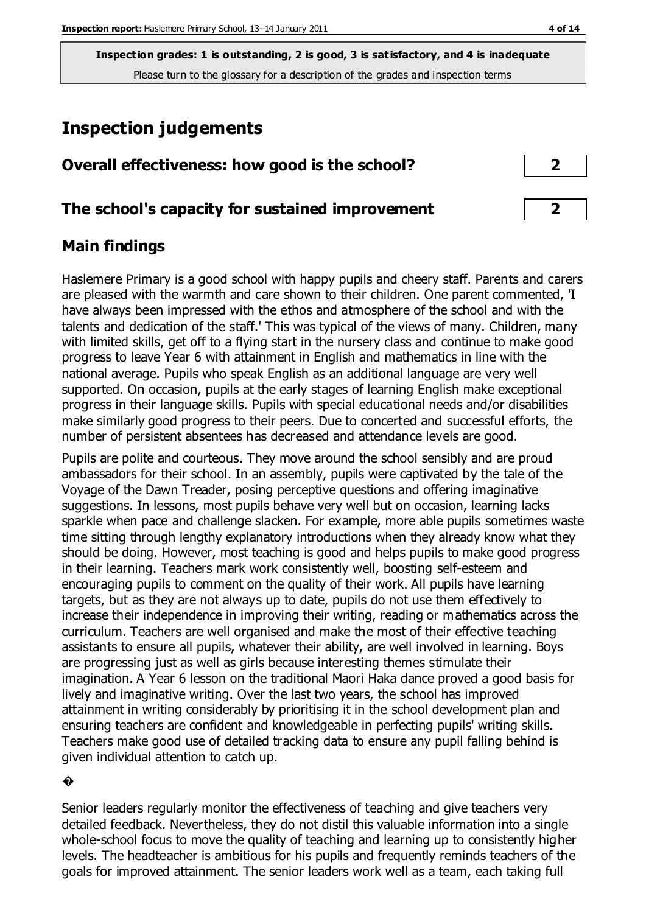# **Inspection judgements**

| Overall effectiveness: how good is the school? |  |
|------------------------------------------------|--|
|                                                |  |

#### **The school's capacity for sustained improvement 2**

## **Main findings**

Haslemere Primary is a good school with happy pupils and cheery staff. Parents and carers are pleased with the warmth and care shown to their children. One parent commented, 'I have always been impressed with the ethos and atmosphere of the school and with the talents and dedication of the staff.' This was typical of the views of many. Children, many with limited skills, get off to a flying start in the nursery class and continue to make good progress to leave Year 6 with attainment in English and mathematics in line with the national average. Pupils who speak English as an additional language are very well supported. On occasion, pupils at the early stages of learning English make exceptional progress in their language skills. Pupils with special educational needs and/or disabilities make similarly good progress to their peers. Due to concerted and successful efforts, the number of persistent absentees has decreased and attendance levels are good.

Pupils are polite and courteous. They move around the school sensibly and are proud ambassadors for their school. In an assembly, pupils were captivated by the tale of the Voyage of the Dawn Treader, posing perceptive questions and offering imaginative suggestions. In lessons, most pupils behave very well but on occasion, learning lacks sparkle when pace and challenge slacken. For example, more able pupils sometimes waste time sitting through lengthy explanatory introductions when they already know what they should be doing. However, most teaching is good and helps pupils to make good progress in their learning. Teachers mark work consistently well, boosting self-esteem and encouraging pupils to comment on the quality of their work. All pupils have learning targets, but as they are not always up to date, pupils do not use them effectively to increase their independence in improving their writing, reading or mathematics across the curriculum. Teachers are well organised and make the most of their effective teaching assistants to ensure all pupils, whatever their ability, are well involved in learning. Boys are progressing just as well as girls because interesting themes stimulate their imagination. A Year 6 lesson on the traditional Maori Haka dance proved a good basis for lively and imaginative writing. Over the last two years, the school has improved attainment in writing considerably by prioritising it in the school development plan and ensuring teachers are confident and knowledgeable in perfecting pupils' writing skills. Teachers make good use of detailed tracking data to ensure any pupil falling behind is given individual attention to catch up.

#### �

Senior leaders regularly monitor the effectiveness of teaching and give teachers very detailed feedback. Nevertheless, they do not distil this valuable information into a single whole-school focus to move the quality of teaching and learning up to consistently higher levels. The headteacher is ambitious for his pupils and frequently reminds teachers of the goals for improved attainment. The senior leaders work well as a team, each taking full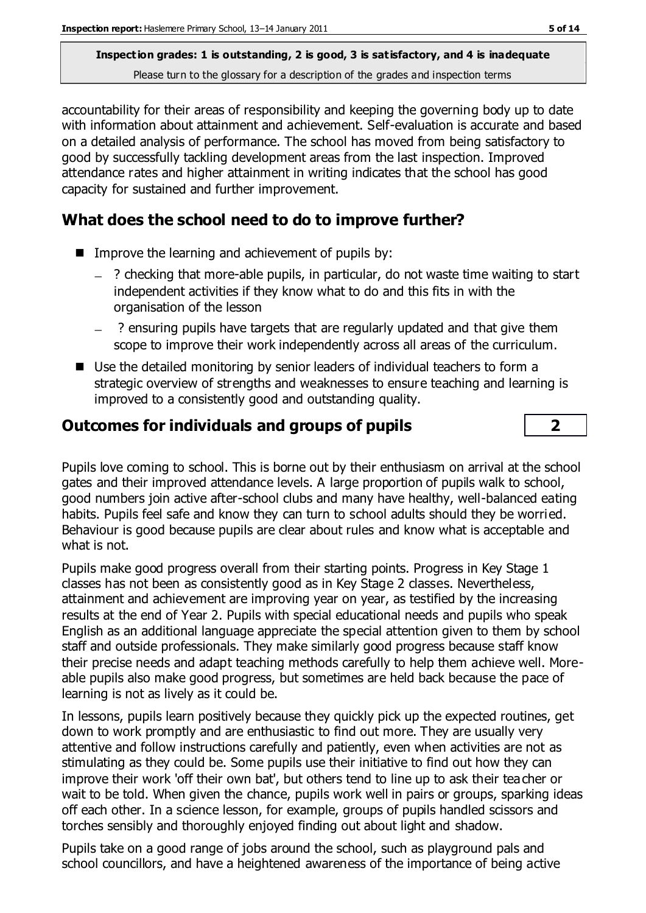accountability for their areas of responsibility and keeping the governing body up to date with information about attainment and achievement. Self-evaluation is accurate and based on a detailed analysis of performance. The school has moved from being satisfactory to good by successfully tackling development areas from the last inspection. Improved attendance rates and higher attainment in writing indicates that the school has good capacity for sustained and further improvement.

## **What does the school need to do to improve further?**

- $\blacksquare$  Improve the learning and achievement of pupils by:
	- $\overline{a}$  ? checking that more-able pupils, in particular, do not waste time waiting to start independent activities if they know what to do and this fits in with the organisation of the lesson
	- ? ensuring pupils have targets that are regularly updated and that give them scope to improve their work independently across all areas of the curriculum.
- Use the detailed monitoring by senior leaders of individual teachers to form a strategic overview of strengths and weaknesses to ensure teaching and learning is improved to a consistently good and outstanding quality.

## **Outcomes for individuals and groups of pupils 2**

Pupils love coming to school. This is borne out by their enthusiasm on arrival at the school gates and their improved attendance levels. A large proportion of pupils walk to school, good numbers join active after-school clubs and many have healthy, well-balanced eating habits. Pupils feel safe and know they can turn to school adults should they be worried. Behaviour is good because pupils are clear about rules and know what is acceptable and what is not.

Pupils make good progress overall from their starting points. Progress in Key Stage 1 classes has not been as consistently good as in Key Stage 2 classes. Nevertheless, attainment and achievement are improving year on year, as testified by the increasing results at the end of Year 2. Pupils with special educational needs and pupils who speak English as an additional language appreciate the special attention given to them by school staff and outside professionals. They make similarly good progress because staff know their precise needs and adapt teaching methods carefully to help them achieve well. Moreable pupils also make good progress, but sometimes are held back because the pace of learning is not as lively as it could be.

In lessons, pupils learn positively because they quickly pick up the expected routines, get down to work promptly and are enthusiastic to find out more. They are usually very attentive and follow instructions carefully and patiently, even when activities are not as stimulating as they could be. Some pupils use their initiative to find out how they can improve their work 'off their own bat', but others tend to line up to ask their teacher or wait to be told. When given the chance, pupils work well in pairs or groups, sparking ideas off each other. In a science lesson, for example, groups of pupils handled scissors and torches sensibly and thoroughly enjoyed finding out about light and shadow.

Pupils take on a good range of jobs around the school, such as playground pals and school councillors, and have a heightened awareness of the importance of being active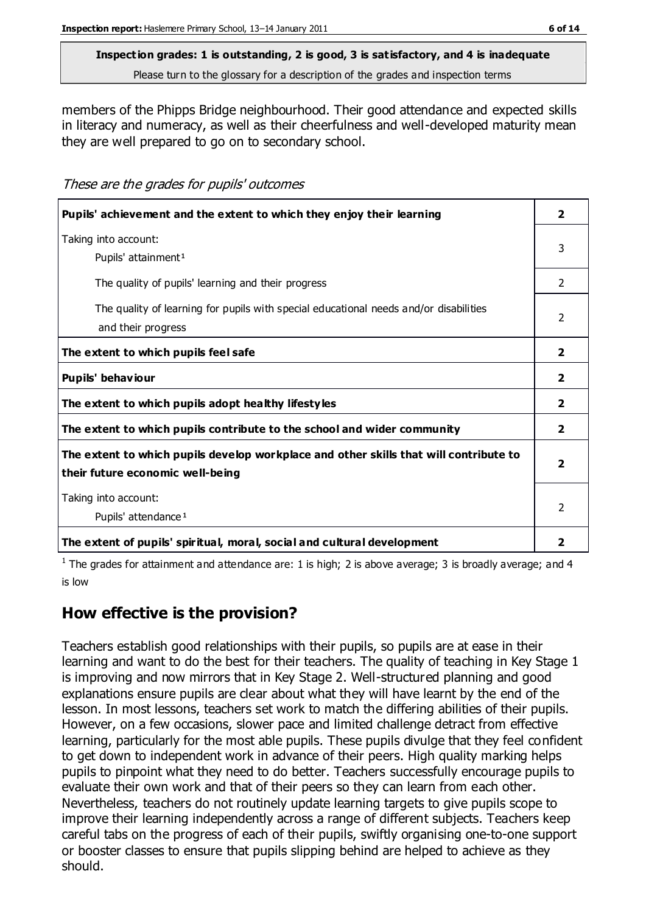members of the Phipps Bridge neighbourhood. Their good attendance and expected skills in literacy and numeracy, as well as their cheerfulness and well-developed maturity mean they are well prepared to go on to secondary school.

These are the grades for pupils' outcomes

| Pupils' achievement and the extent to which they enjoy their learning                                                     | $\overline{2}$ |
|---------------------------------------------------------------------------------------------------------------------------|----------------|
| Taking into account:<br>Pupils' attainment <sup>1</sup>                                                                   | 3              |
| The quality of pupils' learning and their progress                                                                        | 2              |
| The quality of learning for pupils with special educational needs and/or disabilities<br>and their progress               | $\mathfrak{p}$ |
| The extent to which pupils feel safe                                                                                      | $\overline{2}$ |
| Pupils' behaviour                                                                                                         | $\mathbf{2}$   |
| The extent to which pupils adopt healthy lifestyles                                                                       | $\overline{2}$ |
| The extent to which pupils contribute to the school and wider community                                                   | $\overline{2}$ |
| The extent to which pupils develop workplace and other skills that will contribute to<br>their future economic well-being |                |
| Taking into account:<br>Pupils' attendance <sup>1</sup>                                                                   |                |
| The extent of pupils' spiritual, moral, social and cultural development                                                   | 2              |

<sup>1</sup> The grades for attainment and attendance are: 1 is high; 2 is above average; 3 is broadly average; and 4 is low

## **How effective is the provision?**

Teachers establish good relationships with their pupils, so pupils are at ease in their learning and want to do the best for their teachers. The quality of teaching in Key Stage 1 is improving and now mirrors that in Key Stage 2. Well-structured planning and good explanations ensure pupils are clear about what they will have learnt by the end of the lesson. In most lessons, teachers set work to match the differing abilities of their pupils. However, on a few occasions, slower pace and limited challenge detract from effective learning, particularly for the most able pupils. These pupils divulge that they feel confident to get down to independent work in advance of their peers. High quality marking helps pupils to pinpoint what they need to do better. Teachers successfully encourage pupils to evaluate their own work and that of their peers so they can learn from each other. Nevertheless, teachers do not routinely update learning targets to give pupils scope to improve their learning independently across a range of different subjects. Teachers keep careful tabs on the progress of each of their pupils, swiftly organising one-to-one support or booster classes to ensure that pupils slipping behind are helped to achieve as they should.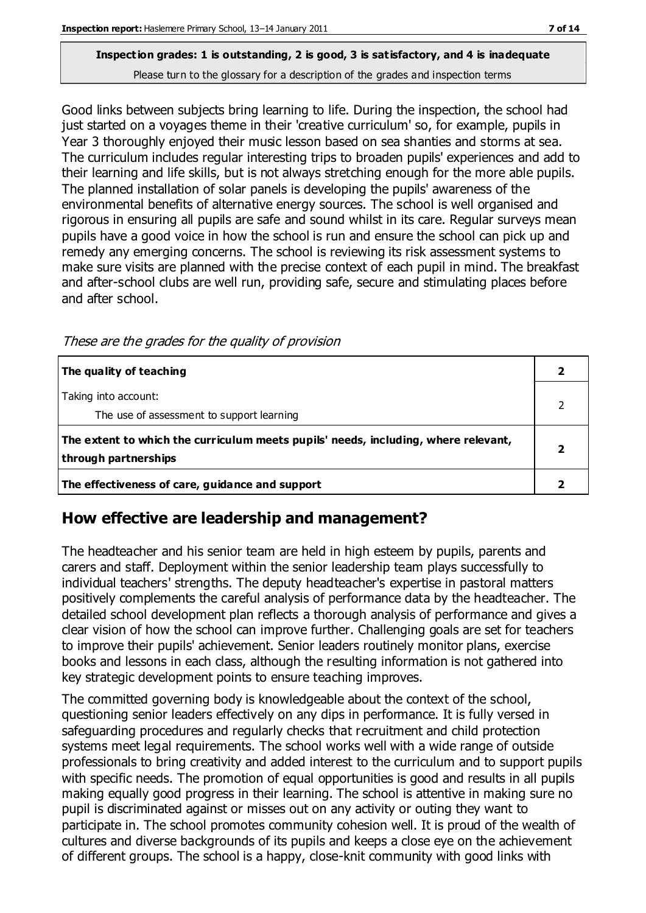Good links between subjects bring learning to life. During the inspection, the school had just started on a voyages theme in their 'creative curriculum' so, for example, pupils in Year 3 thoroughly enjoyed their music lesson based on sea shanties and storms at sea. The curriculum includes regular interesting trips to broaden pupils' experiences and add to their learning and life skills, but is not always stretching enough for the more able pupils. The planned installation of solar panels is developing the pupils' awareness of the environmental benefits of alternative energy sources. The school is well organised and rigorous in ensuring all pupils are safe and sound whilst in its care. Regular surveys mean pupils have a good voice in how the school is run and ensure the school can pick up and remedy any emerging concerns. The school is reviewing its risk assessment systems to make sure visits are planned with the precise context of each pupil in mind. The breakfast and after-school clubs are well run, providing safe, secure and stimulating places before and after school.

| The quality of teaching                                                                                    |  |
|------------------------------------------------------------------------------------------------------------|--|
| Taking into account:<br>The use of assessment to support learning                                          |  |
| The extent to which the curriculum meets pupils' needs, including, where relevant,<br>through partnerships |  |
| The effectiveness of care, guidance and support                                                            |  |

These are the grades for the quality of provision

## **How effective are leadership and management?**

The headteacher and his senior team are held in high esteem by pupils, parents and carers and staff. Deployment within the senior leadership team plays successfully to individual teachers' strengths. The deputy headteacher's expertise in pastoral matters positively complements the careful analysis of performance data by the headteacher. The detailed school development plan reflects a thorough analysis of performance and gives a clear vision of how the school can improve further. Challenging goals are set for teachers to improve their pupils' achievement. Senior leaders routinely monitor plans, exercise books and lessons in each class, although the resulting information is not gathered into key strategic development points to ensure teaching improves.

The committed governing body is knowledgeable about the context of the school, questioning senior leaders effectively on any dips in performance. It is fully versed in safeguarding procedures and regularly checks that recruitment and child protection systems meet legal requirements. The school works well with a wide range of outside professionals to bring creativity and added interest to the curriculum and to support pupils with specific needs. The promotion of equal opportunities is good and results in all pupils making equally good progress in their learning. The school is attentive in making sure no pupil is discriminated against or misses out on any activity or outing they want to participate in. The school promotes community cohesion well. It is proud of the wealth of cultures and diverse backgrounds of its pupils and keeps a close eye on the achievement of different groups. The school is a happy, close-knit community with good links with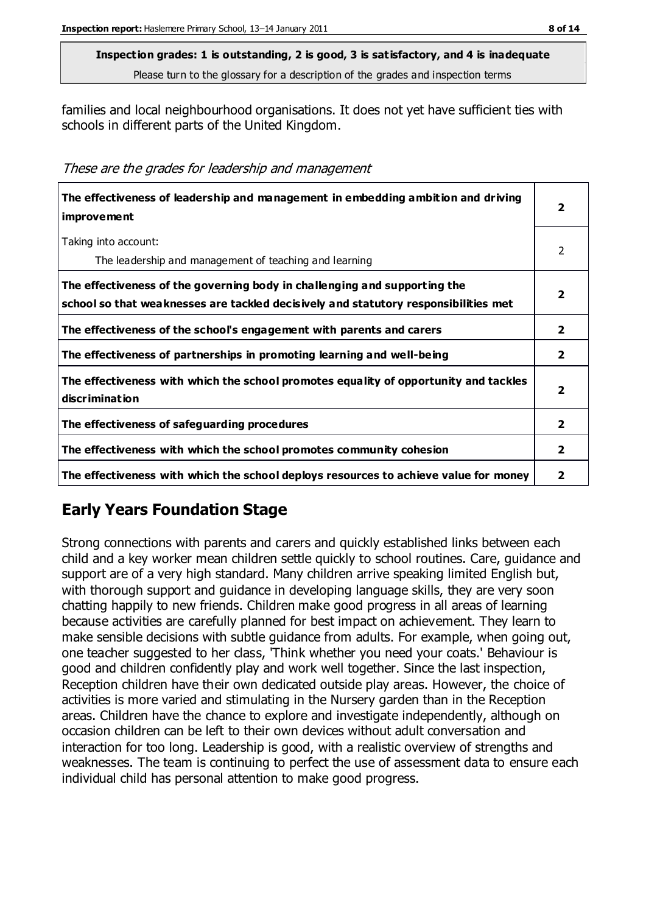families and local neighbourhood organisations. It does not yet have sufficient ties with schools in different parts of the United Kingdom.

These are the grades for leadership and management

| The effectiveness of leadership and management in embedding ambition and driving<br>improvement                                                                  |                |
|------------------------------------------------------------------------------------------------------------------------------------------------------------------|----------------|
| Taking into account:<br>The leadership and management of teaching and learning                                                                                   | 2              |
| The effectiveness of the governing body in challenging and supporting the<br>school so that weaknesses are tackled decisively and statutory responsibilities met | 2              |
| The effectiveness of the school's engagement with parents and carers                                                                                             | $\overline{2}$ |
| The effectiveness of partnerships in promoting learning and well-being                                                                                           | $\mathbf{2}$   |
| The effectiveness with which the school promotes equality of opportunity and tackles<br>discrimination                                                           | 2              |
| The effectiveness of safeguarding procedures                                                                                                                     | $\overline{2}$ |
| The effectiveness with which the school promotes community cohesion                                                                                              | 2              |
| The effectiveness with which the school deploys resources to achieve value for money                                                                             | 2              |

## **Early Years Foundation Stage**

Strong connections with parents and carers and quickly established links between each child and a key worker mean children settle quickly to school routines. Care, guidance and support are of a very high standard. Many children arrive speaking limited English but, with thorough support and guidance in developing language skills, they are very soon chatting happily to new friends. Children make good progress in all areas of learning because activities are carefully planned for best impact on achievement. They learn to make sensible decisions with subtle guidance from adults. For example, when going out, one teacher suggested to her class, 'Think whether you need your coats.' Behaviour is good and children confidently play and work well together. Since the last inspection, Reception children have their own dedicated outside play areas. However, the choice of activities is more varied and stimulating in the Nursery garden than in the Reception areas. Children have the chance to explore and investigate independently, although on occasion children can be left to their own devices without adult conversation and interaction for too long. Leadership is good, with a realistic overview of strengths and weaknesses. The team is continuing to perfect the use of assessment data to ensure each individual child has personal attention to make good progress.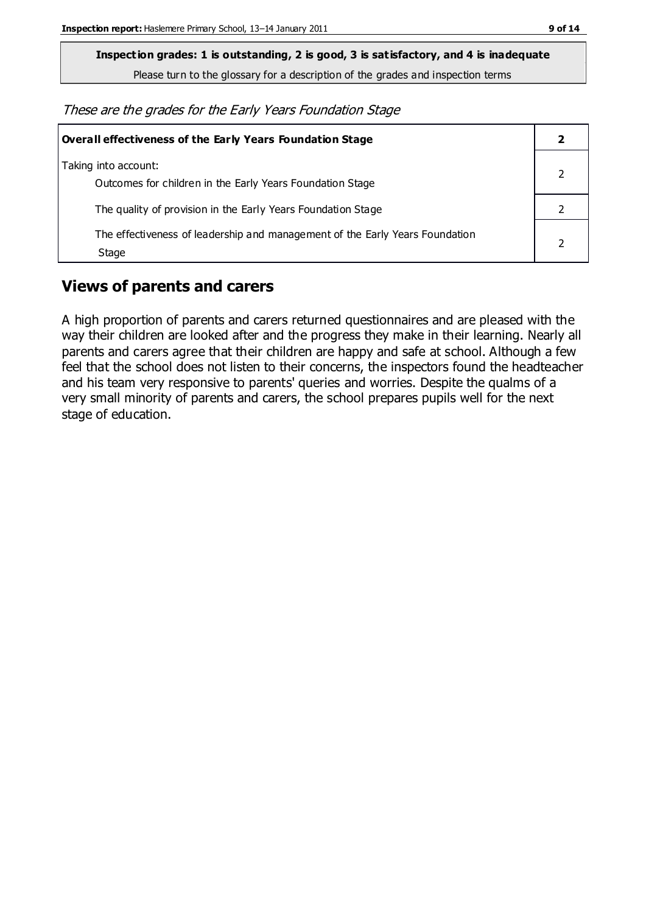**Inspection grades: 1 is outstanding, 2 is good, 3 is satisfactory, and 4 is inadequate**

Please turn to the glossary for a description of the grades and inspection terms

These are the grades for the Early Years Foundation Stage

| Overall effectiveness of the Early Years Foundation Stage                             |  |
|---------------------------------------------------------------------------------------|--|
| Taking into account:<br>Outcomes for children in the Early Years Foundation Stage     |  |
| The quality of provision in the Early Years Foundation Stage                          |  |
| The effectiveness of leadership and management of the Early Years Foundation<br>Stage |  |

#### **Views of parents and carers**

A high proportion of parents and carers returned questionnaires and are pleased with the way their children are looked after and the progress they make in their learning. Nearly all parents and carers agree that their children are happy and safe at school. Although a few feel that the school does not listen to their concerns, the inspectors found the headteacher and his team very responsive to parents' queries and worries. Despite the qualms of a very small minority of parents and carers, the school prepares pupils well for the next stage of education.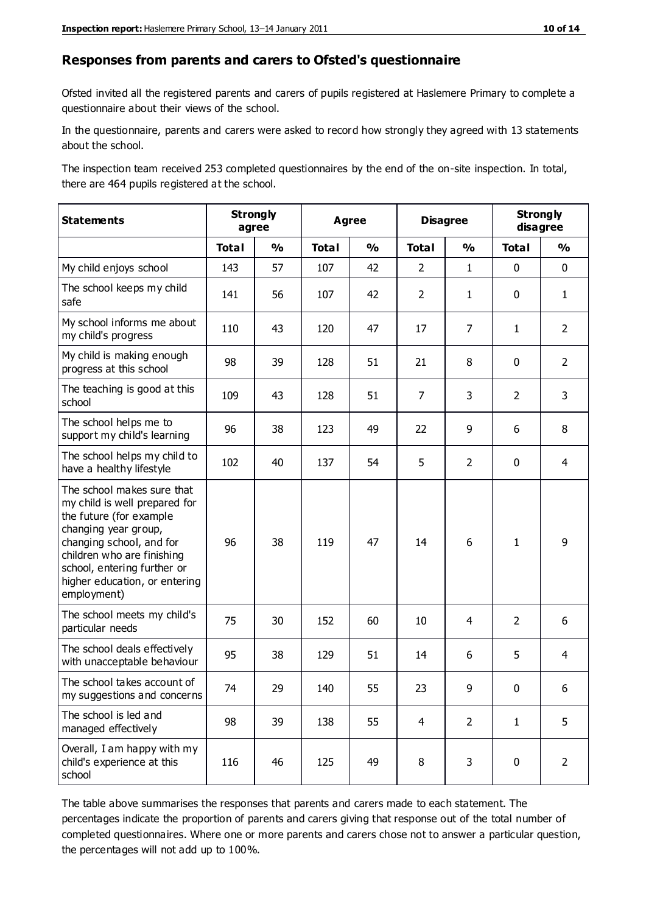#### **Responses from parents and carers to Ofsted's questionnaire**

Ofsted invited all the registered parents and carers of pupils registered at Haslemere Primary to complete a questionnaire about their views of the school.

In the questionnaire, parents and carers were asked to record how strongly they agreed with 13 statements about the school.

The inspection team received 253 completed questionnaires by the end of the on-site inspection. In total, there are 464 pupils registered at the school.

| <b>Statements</b>                                                                                                                                                                                                                                       | <b>Strongly</b><br>agree |               | <b>Disagree</b><br>Agree |               |                |                | <b>Strongly</b><br>disagree |                |
|---------------------------------------------------------------------------------------------------------------------------------------------------------------------------------------------------------------------------------------------------------|--------------------------|---------------|--------------------------|---------------|----------------|----------------|-----------------------------|----------------|
|                                                                                                                                                                                                                                                         | <b>Total</b>             | $\frac{1}{2}$ | <b>Total</b>             | $\frac{1}{2}$ | <b>Total</b>   | $\frac{1}{2}$  | <b>Total</b>                | $\frac{0}{0}$  |
| My child enjoys school                                                                                                                                                                                                                                  | 143                      | 57            | 107                      | 42            | $\overline{2}$ | $\mathbf{1}$   | $\mathbf 0$                 | $\mathbf 0$    |
| The school keeps my child<br>safe                                                                                                                                                                                                                       | 141                      | 56            | 107                      | 42            | $\overline{2}$ | $\mathbf{1}$   | $\mathbf 0$                 | $\mathbf{1}$   |
| My school informs me about<br>my child's progress                                                                                                                                                                                                       | 110                      | 43            | 120                      | 47            | 17             | 7              | $\mathbf{1}$                | $\overline{2}$ |
| My child is making enough<br>progress at this school                                                                                                                                                                                                    | 98                       | 39            | 128                      | 51            | 21             | 8              | $\mathbf 0$                 | $\overline{2}$ |
| The teaching is good at this<br>school                                                                                                                                                                                                                  | 109                      | 43            | 128                      | 51            | $\overline{7}$ | 3              | $\overline{2}$              | 3              |
| The school helps me to<br>support my child's learning                                                                                                                                                                                                   | 96                       | 38            | 123                      | 49            | 22             | 9              | 6                           | 8              |
| The school helps my child to<br>have a healthy lifestyle                                                                                                                                                                                                | 102                      | 40            | 137                      | 54            | 5              | $\overline{2}$ | $\mathbf 0$                 | $\overline{4}$ |
| The school makes sure that<br>my child is well prepared for<br>the future (for example<br>changing year group,<br>changing school, and for<br>children who are finishing<br>school, entering further or<br>higher education, or entering<br>employment) | 96                       | 38            | 119                      | 47            | 14             | 6              | $\mathbf{1}$                | 9              |
| The school meets my child's<br>particular needs                                                                                                                                                                                                         | 75                       | 30            | 152                      | 60            | 10             | 4              | 2                           | 6              |
| The school deals effectively<br>with unacceptable behaviour                                                                                                                                                                                             | 95                       | 38            | 129                      | 51            | 14             | 6              | 5                           | $\overline{4}$ |
| The school takes account of<br>my suggestions and concerns                                                                                                                                                                                              | 74                       | 29            | 140                      | 55            | 23             | 9              | $\mathbf 0$                 | 6              |
| The school is led and<br>managed effectively                                                                                                                                                                                                            | 98                       | 39            | 138                      | 55            | $\overline{4}$ | $\overline{2}$ | $\mathbf{1}$                | 5              |
| Overall, I am happy with my<br>child's experience at this<br>school                                                                                                                                                                                     | 116                      | 46            | 125                      | 49            | 8              | 3              | $\mathbf 0$                 | $\overline{2}$ |

The table above summarises the responses that parents and carers made to each statement. The percentages indicate the proportion of parents and carers giving that response out of the total number of completed questionnaires. Where one or more parents and carers chose not to answer a particular question, the percentages will not add up to 100%.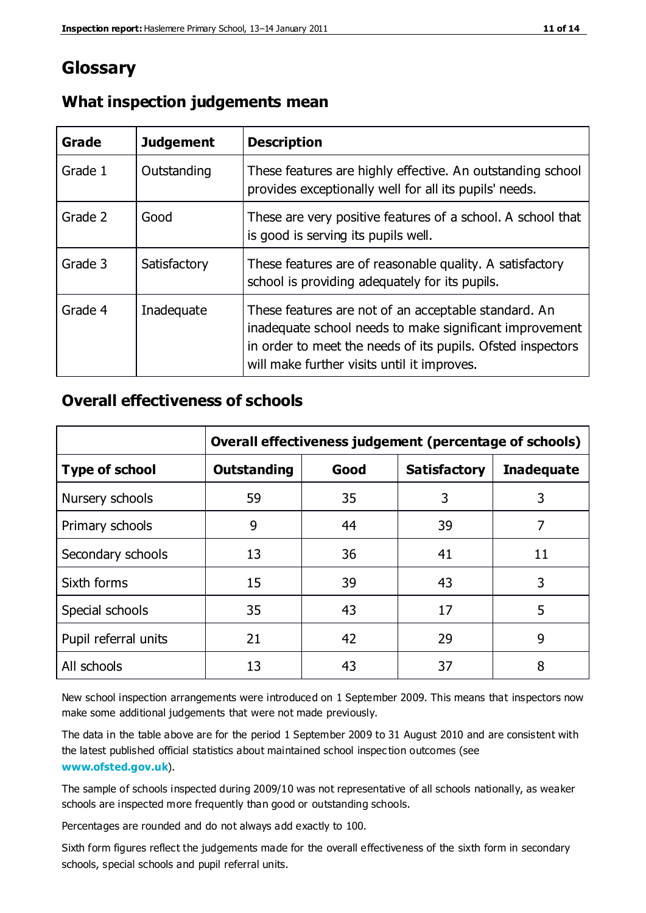## **Glossary**

| Grade   | <b>Judgement</b> | <b>Description</b>                                                                                                                                                                                                            |
|---------|------------------|-------------------------------------------------------------------------------------------------------------------------------------------------------------------------------------------------------------------------------|
| Grade 1 | Outstanding      | These features are highly effective. An outstanding school<br>provides exceptionally well for all its pupils' needs.                                                                                                          |
| Grade 2 | Good             | These are very positive features of a school. A school that<br>is good is serving its pupils well.                                                                                                                            |
| Grade 3 | Satisfactory     | These features are of reasonable quality. A satisfactory<br>school is providing adequately for its pupils.                                                                                                                    |
| Grade 4 | Inadequate       | These features are not of an acceptable standard. An<br>inadequate school needs to make significant improvement<br>in order to meet the needs of its pupils. Ofsted inspectors<br>will make further visits until it improves. |

#### **What inspection judgements mean**

#### **Overall effectiveness of schools**

|                       | Overall effectiveness judgement (percentage of schools) |      |                     |                   |
|-----------------------|---------------------------------------------------------|------|---------------------|-------------------|
| <b>Type of school</b> | <b>Outstanding</b>                                      | Good | <b>Satisfactory</b> | <b>Inadequate</b> |
| Nursery schools       | 59                                                      | 35   | 3                   | 3                 |
| Primary schools       | 9                                                       | 44   | 39                  | 7                 |
| Secondary schools     | 13                                                      | 36   | 41                  | 11                |
| Sixth forms           | 15                                                      | 39   | 43                  | 3                 |
| Special schools       | 35                                                      | 43   | 17                  | 5                 |
| Pupil referral units  | 21                                                      | 42   | 29                  | 9                 |
| All schools           | 13                                                      | 43   | 37                  | 8                 |

New school inspection arrangements were introduced on 1 September 2009. This means that inspectors now make some additional judgements that were not made previously.

The data in the table above are for the period 1 September 2009 to 31 August 2010 and are consistent with the latest published official statistics about maintained school inspec tion outcomes (see **[www.ofsted.gov.uk](http://www.ofsted.gov.uk/)**).

The sample of schools inspected during 2009/10 was not representative of all schools nationally, as weaker schools are inspected more frequently than good or outstanding schools.

Percentages are rounded and do not always add exactly to 100.

Sixth form figures reflect the judgements made for the overall effectiveness of the sixth form in secondary schools, special schools and pupil referral units.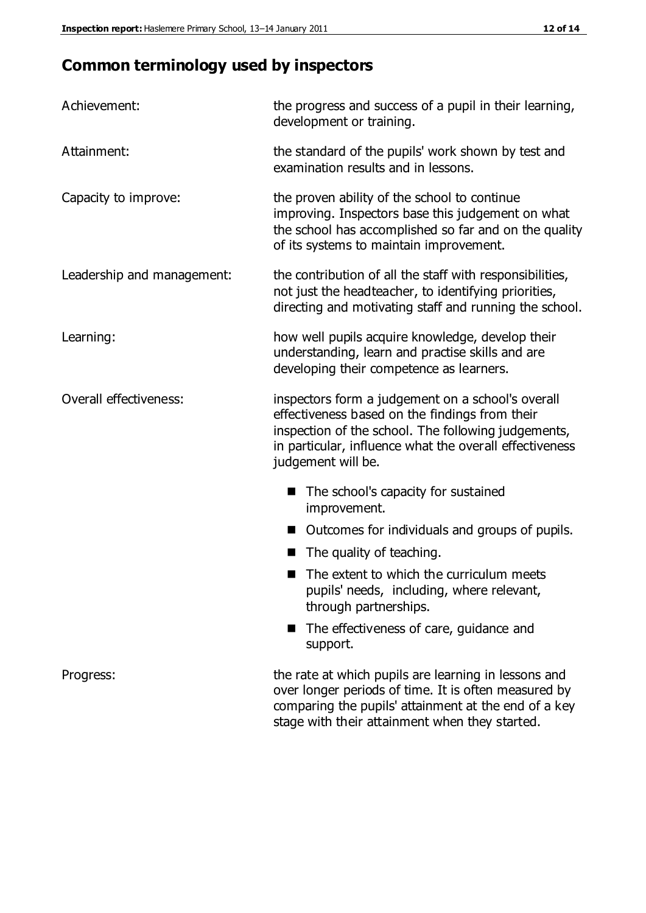# **Common terminology used by inspectors**

| Achievement:               | the progress and success of a pupil in their learning,<br>development or training.                                                                                                                                                          |  |  |
|----------------------------|---------------------------------------------------------------------------------------------------------------------------------------------------------------------------------------------------------------------------------------------|--|--|
| Attainment:                | the standard of the pupils' work shown by test and<br>examination results and in lessons.                                                                                                                                                   |  |  |
| Capacity to improve:       | the proven ability of the school to continue<br>improving. Inspectors base this judgement on what<br>the school has accomplished so far and on the quality<br>of its systems to maintain improvement.                                       |  |  |
| Leadership and management: | the contribution of all the staff with responsibilities,<br>not just the headteacher, to identifying priorities,<br>directing and motivating staff and running the school.                                                                  |  |  |
| Learning:                  | how well pupils acquire knowledge, develop their<br>understanding, learn and practise skills and are<br>developing their competence as learners.                                                                                            |  |  |
| Overall effectiveness:     | inspectors form a judgement on a school's overall<br>effectiveness based on the findings from their<br>inspection of the school. The following judgements,<br>in particular, influence what the overall effectiveness<br>judgement will be. |  |  |
|                            | The school's capacity for sustained<br>improvement.                                                                                                                                                                                         |  |  |
|                            | Outcomes for individuals and groups of pupils.                                                                                                                                                                                              |  |  |
|                            | The quality of teaching.                                                                                                                                                                                                                    |  |  |
|                            | The extent to which the curriculum meets<br>pupils' needs, including, where relevant,<br>through partnerships.                                                                                                                              |  |  |
|                            | The effectiveness of care, guidance and<br>support.                                                                                                                                                                                         |  |  |
| Progress:                  | the rate at which pupils are learning in lessons and<br>over longer periods of time. It is often measured by<br>comparing the pupils' attainment at the end of a key                                                                        |  |  |

stage with their attainment when they started.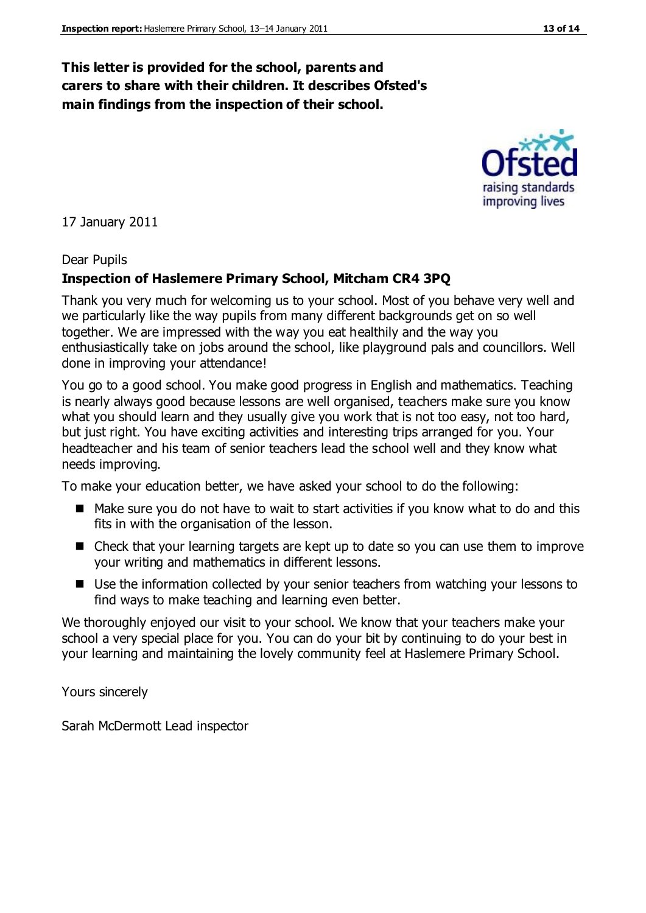#### **This letter is provided for the school, parents and carers to share with their children. It describes Ofsted's main findings from the inspection of their school.**

17 January 2011

#### Dear Pupils

#### **Inspection of Haslemere Primary School, Mitcham CR4 3PQ**

Thank you very much for welcoming us to your school. Most of you behave very well and we particularly like the way pupils from many different backgrounds get on so well together. We are impressed with the way you eat healthily and the way you enthusiastically take on jobs around the school, like playground pals and councillors. Well done in improving your attendance!

You go to a good school. You make good progress in English and mathematics. Teaching is nearly always good because lessons are well organised, teachers make sure you know what you should learn and they usually give you work that is not too easy, not too hard, but just right. You have exciting activities and interesting trips arranged for you. Your headteacher and his team of senior teachers lead the school well and they know what needs improving.

To make your education better, we have asked your school to do the following:

- Make sure you do not have to wait to start activities if you know what to do and this fits in with the organisation of the lesson.
- Check that your learning targets are kept up to date so you can use them to improve your writing and mathematics in different lessons.
- Use the information collected by your senior teachers from watching your lessons to find ways to make teaching and learning even better.

We thoroughly enjoyed our visit to your school. We know that your teachers make your school a very special place for you. You can do your bit by continuing to do your best in your learning and maintaining the lovely community feel at Haslemere Primary School.

Yours sincerely

Sarah McDermott Lead inspector